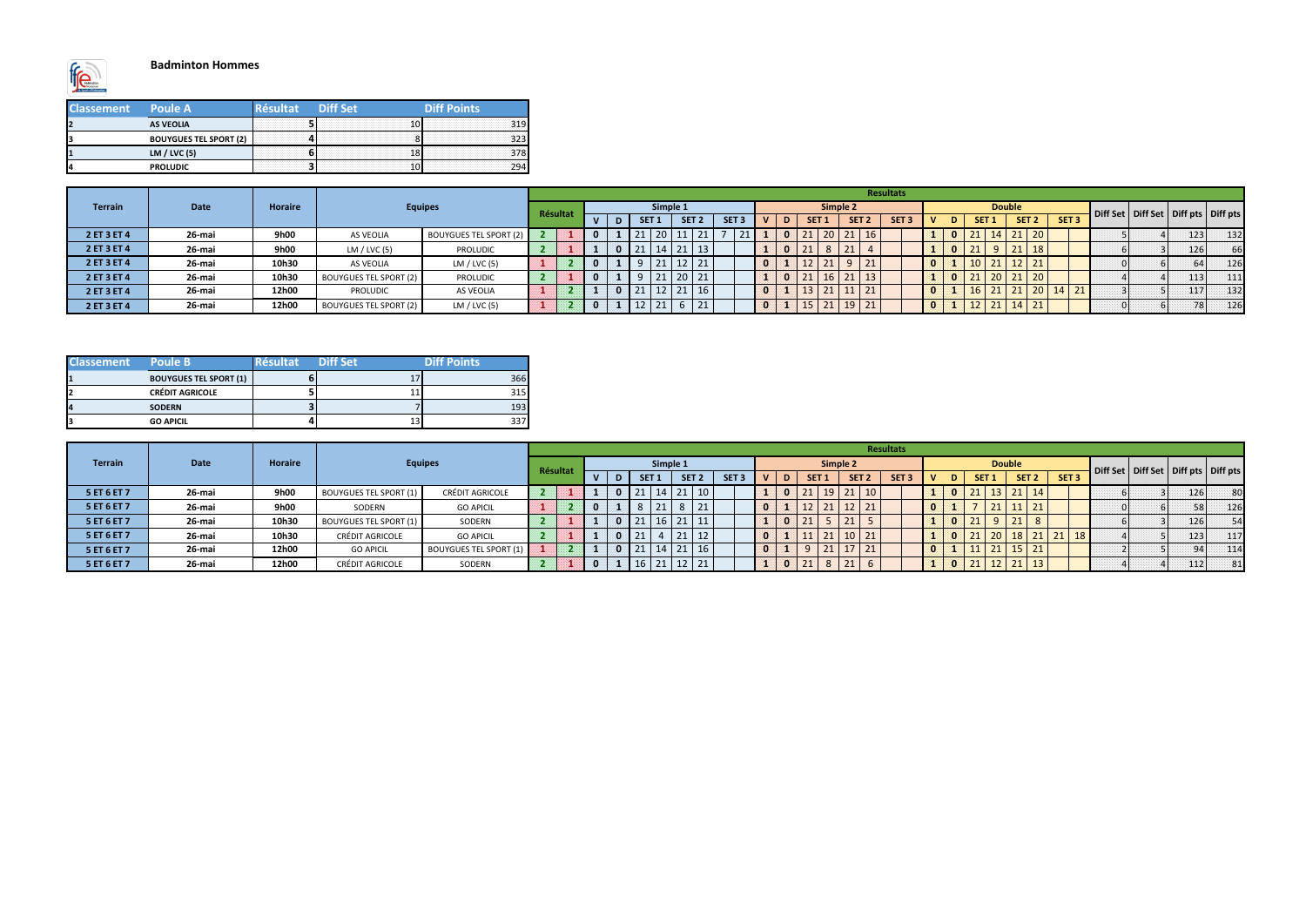

#### **Badminton Hommes**

| <b>Classement</b> | <b>Poule A</b>                | <b>Diff Set</b> | Diff Points |
|-------------------|-------------------------------|-----------------|-------------|
|                   | <b>AS VEOLIA</b>              |                 |             |
|                   | <b>BOUYGUES TEL SPORT (2)</b> |                 |             |
|                   | LM $/$ LVC $(5)$              |                 |             |
|                   | <b>PROLUDIC</b>               |                 |             |

| <b>Classement</b> | Poule B                       | Résultat | Diff Set | Diff Points |
|-------------------|-------------------------------|----------|----------|-------------|
| 11                | <b>BOUYGUES TEL SPORT (1)</b> |          |          | 366         |
| 12                | <b>CRÉDIT AGRICOLE</b>        |          |          | 315         |
| 14                | <b>SODERN</b>                 |          |          | 193         |
| β                 | <b>GO APICIL</b>              |          | 13       |             |

|                |             |                |                               |                               |          |  |              |          |                  |    |                  |               |   |            |           |                      | <b>Resultats</b> |  |                  |               |                  |                  |  |            |                                           |
|----------------|-------------|----------------|-------------------------------|-------------------------------|----------|--|--------------|----------|------------------|----|------------------|---------------|---|------------|-----------|----------------------|------------------|--|------------------|---------------|------------------|------------------|--|------------|-------------------------------------------|
| <b>Terrain</b> | <b>Date</b> | <b>Horaire</b> |                               | <b>Equipes</b>                | Résultat |  |              | Simple 1 |                  |    |                  |               |   |            | Simple 2  |                      |                  |  |                  | <b>Double</b> |                  |                  |  |            | Diff Set   Diff Set   Diff pts   Diff pts |
|                |             |                |                               |                               |          |  | <b>SET</b>   |          | SET <sub>2</sub> |    | SET <sub>3</sub> |               | D | <b>SET</b> |           | SET <sub>2</sub>     | SET <sub>3</sub> |  | SET <sub>1</sub> |               | SET <sub>2</sub> | SET <sub>3</sub> |  |            |                                           |
| 2 ET 3 ET 4    | 26-mai      | 9h00           | AS VEOLIA                     | <b>BOUYGUES TEL SPORT (2)</b> |          |  |              |          | 11               | 21 | 21               |               |   | 21         | $20$   21 | $\vert$ 16           |                  |  |                  |               | $14$ 21 20       |                  |  | 123        | 132                                       |
| 2 ET 3 ET 4    | 26-mai      | 9h00           | LM $/$ LVC (5)                | <b>PROLUDIC</b>               |          |  | $21 \mid 14$ |          | 21               | 13 |                  |               |   | 21         |           |                      |                  |  |                  |               | 21<br> 18        |                  |  | <b>126</b> | 66                                        |
| 2 ET 3 ET 4    | 26-mai      | 10h30          | AS VEOLIA                     | LM / LVC (5)                  |          |  |              |          | $\sim$<br>ΤT     | 21 |                  | <b>AND IN</b> |   |            | $21$ Q    | 21                   |                  |  |                  | $\vert$ 12    |                  |                  |  |            | 126                                       |
| 2 ET 3 ET 4    | 26-mai      | 10h30          | <b>BOUYGUES TEL SPORT (2)</b> | <b>PROLUDIC</b>               |          |  |              |          | 20               | 21 |                  |               |   |            | $16$   21 | 13                   |                  |  |                  | $20 \mid 21$  | 121120           |                  |  | 113        | 111                                       |
| 2 ET 3 ET 4    | 26-mai      | 12h00          | <b>PROLUDIC</b>               | AS VEOLIA                     |          |  |              |          | 21               | 16 |                  |               |   | TЭ         | 21        | $\frac{1}{21}$       |                  |  |                  |               | <b>ZUI</b>       | $14$ 21          |  | 117        | 132                                       |
| 2 ET 3 ET 4    | 26-mai      | 12h00          | <b>BOUYGUES TEL SPORT (2)</b> | LM / LVC (5)                  |          |  |              |          |                  | 21 |                  |               |   | LD.        |           | $21 \mid 19 \mid 21$ |                  |  |                  | <b>14</b>     | 21               |                  |  |            | 126<br>78 L                               |

|                |             |                |                               |                               |          |              |                 |            |                   |                   |                  |     |    |       |                                                            |                  | <b>Resultats</b> |    |    |                  |                      |                  |                   |  |     |                                           |
|----------------|-------------|----------------|-------------------------------|-------------------------------|----------|--------------|-----------------|------------|-------------------|-------------------|------------------|-----|----|-------|------------------------------------------------------------|------------------|------------------|----|----|------------------|----------------------|------------------|-------------------|--|-----|-------------------------------------------|
| <b>Terrain</b> | <b>Date</b> | <b>Horaire</b> |                               | <b>Equipes</b>                | Résultat |              |                 |            | Simple 1          |                   |                  |     |    |       | Simple 2                                                   |                  |                  |    |    |                  | <b>Double</b>        |                  |                   |  |     | Diff Set   Diff Set   Diff pts   Diff pts |
|                |             |                |                               |                               |          | $\mathbf{v}$ |                 | <b>SET</b> |                   | SET <sub>2</sub>  | SET <sub>3</sub> | ID. |    | SET : |                                                            | SET <sub>2</sub> | SET <sub>3</sub> | D. |    | SET <sub>1</sub> |                      | SET <sub>2</sub> | SET <sub>3</sub>  |  |     |                                           |
| 5 ET 6 ET 7    | 26-mai      | 9h00           | <b>BOUYGUES TEL SPORT (1)</b> | <b>CRÉDIT AGRICOLE</b>        |          |              |                 | $21$   14  |                   | $21 \mid 10 \mid$ |                  |     | 21 |       | $\begin{array}{ c c c c c }\n\hline\n19 & 21\n\end{array}$ | $ 10\rangle$     |                  |    | 21 |                  |                      | $13$ 21 14       |                   |  | 126 | 80                                        |
| 5 ET 6 ET 7    | 26-mai      | 9h00           | SODERN                        | <b>GO APICIL</b>              |          |              |                 |            | $\circ$           | 21                |                  |     |    | 21    |                                                            | $\vert$ 21       |                  |    |    |                  | $21 \mid 11 \mid 21$ |                  |                   |  |     | 126                                       |
| 5 ET 6 ET 7    | 26-mai      | 10h30          | <b>BOUYGUES TEL SPORT (1)</b> | SODERN                        |          |              | 21 <sub>1</sub> |            |                   | $21 \mid 11 \mid$ |                  |     | ᅀ  |       |                                                            |                  |                  |    |    |                  | 21                   |                  |                   |  | 126 | 54                                        |
| 5 ET 6 ET 7    | 26-mai      | 10h30          | CRÉDIT AGRICOLE               | <b>GO APICIL</b>              |          |              | 21              |            | $\mathbf{A}$<br>ᅩ | $\frac{12}{2}$    |                  |     |    | 24    |                                                            |                  |                  |    |    | ZU.              |                      |                  | $21 \mid 18 \mid$ |  | 123 | 117                                       |
| 5 ET 6 ET 7    | 26-mai      | 12h00          | <b>GO APICIL</b>              | <b>BOUYGUES TEL SPORT (1)</b> |          |              |                 |            | 21                | 16                |                  |     |    |       |                                                            | $\frac{1}{21}$   |                  |    |    |                  |                      |                  |                   |  |     | 114                                       |
| 5 ET 6 ET 7    | 26-mai      | 12h00          | <b>CRÉDIT AGRICOLE</b>        | SODERN                        |          |              | 16 <sup>1</sup> |            |                   | $12 \mid 21$      |                  |     | 21 |       |                                                            |                  |                  |    | 21 |                  |                      | $12$   21   13   |                   |  | 112 | 81                                        |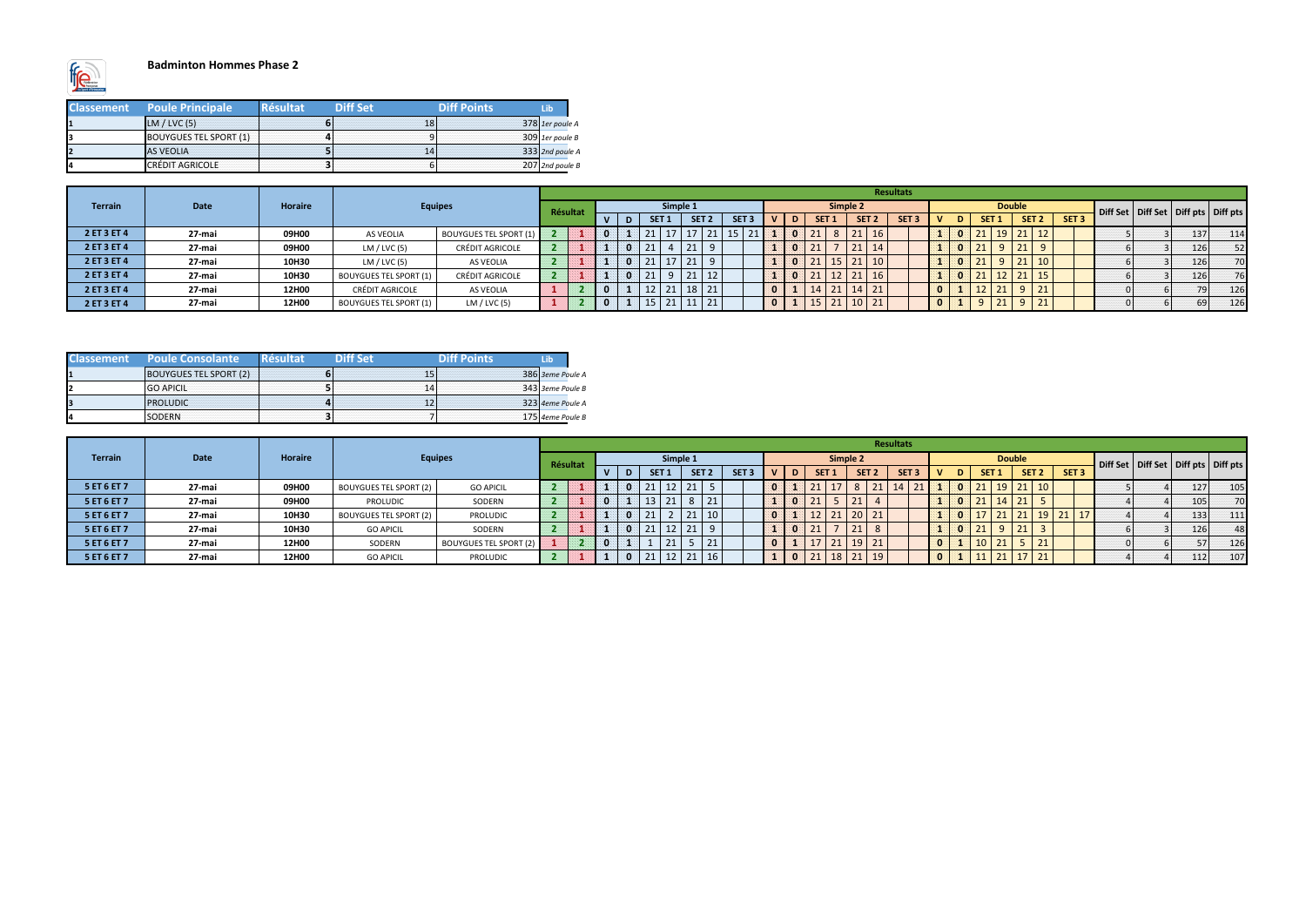

#### **Badminton Hommes Phase 2**

| <b>Classement</b> | <b>Poule Principale</b>       | <b>Résultat</b> | <b>Diff Set</b> | <b>Diff Points</b> | Lib               |
|-------------------|-------------------------------|-----------------|-----------------|--------------------|-------------------|
|                   | LM / LVC(5)                   |                 | 18              |                    | 378 1er poule A   |
|                   | <b>BOUYGUES TEL SPORT (1)</b> |                 |                 |                    | $309$ 1er poule B |
|                   | <b>AS VEOLIA</b>              |                 |                 |                    | 333 2nd poule A   |
|                   | <b>CRÉDIT AGRICOLE</b>        |                 |                 |                    | 207 2nd poule B   |

|    | <b>Classement Poule Consolante</b> | )itt Set | <b>Aiff Points</b> | l ih             |
|----|------------------------------------|----------|--------------------|------------------|
|    | <b>BOUYGUES TEL SPORT (2)</b>      | 15       |                    | 386 3eme Poule A |
|    | <b>GO APICIL</b>                   | 141      |                    | 343 3eme Poule B |
|    | <b>IPROLUDIC</b>                   |          |                    | 323 4eme Poule A |
| 14 | <b>SODERN</b>                      |          |                    | 175 4eme Poule B |

|                |        |         |                               |                               |                 |  |            |            |                      |                  |                  |    |  |                  |                                    |              | Resultats        |  |                  |               |                    |          |                  |  |                                           |
|----------------|--------|---------|-------------------------------|-------------------------------|-----------------|--|------------|------------|----------------------|------------------|------------------|----|--|------------------|------------------------------------|--------------|------------------|--|------------------|---------------|--------------------|----------|------------------|--|-------------------------------------------|
| <b>Terrain</b> | Date   | Horaire | <b>Equipes</b>                |                               | <b>Résultat</b> |  |            | Simple 1   |                      |                  |                  |    |  |                  | Simple 2                           |              |                  |  |                  | <b>Double</b> |                    |          |                  |  | Diff Set   Diff Set   Diff pts   Diff pts |
|                |        |         |                               |                               |                 |  | <b>SET</b> |            |                      | SET <sub>2</sub> | SET <sub>2</sub> |    |  | SET <sub>1</sub> | SET <sub>2</sub>                   |              | SET <sub>3</sub> |  | SET <sub>1</sub> |               | SET <sub>2</sub>   |          | SET <sub>3</sub> |  |                                           |
| 2 ET 3 ET 4    | 27-mai | 09H00   | AS VEOLIA                     | <b>BOUYGUES TEL SPORT (1)</b> |                 |  |            |            |                      |                  |                  | ᄼᅩ |  |                  | $\mathbf{a}$<br>ᅩ                  | 16           |                  |  |                  | $19$ 21       |                    | 12       |                  |  | 137<br>114                                |
| 2 ET 3 ET 4    | 27-mai | 09H00   | LM $/$ LVC (5)                | <b>CRÉDIT AGRICOLE</b>        |                 |  |            |            | 24<br>ᅩᆂ             |                  |                  |    |  |                  | $\mathbf{a}$<br>ᅩ                  | 14           |                  |  | 21               |               | 21<br>21           | $\alpha$ |                  |  | 52<br>126                                 |
| 2 ET 3 ET 4    | 27-mai | 10H30   | LM $/$ LVC (5)                | AS VEOLIA                     |                 |  |            |            | 21<br>ᅀ              | $\Omega$         |                  |    |  |                  | $15 \mid 21 \mid$                  | $ 10\rangle$ |                  |  |                  | У             | $\mathbf{A}$<br>71 | 10       |                  |  | 126<br>70                                 |
| 2 ET 3 ET 4    | 27-mai | 10H30   | <b>BOUYGUES TEL SPORT (1)</b> | CRÉDIT AGRICOLE               |                 |  |            |            | $\sim$<br><u>_ _</u> | 12               |                  |    |  |                  | $\overline{\phantom{a}}$<br>$\sim$ | 16           |                  |  |                  | $\sim$ $\sim$ | $2 +$              | 15       |                  |  | 76<br>126                                 |
| 2 ET 3 ET 4    | 27-mai | 12H00   | CRÉDIT AGRICOLE               | AS VEOLIA                     |                 |  |            |            |                      | $18$   21        |                  |    |  | ᅀ                |                                    | $14$ 21      |                  |  |                  |               |                    | 21       |                  |  | 79I.<br>126                               |
| 2 ET 3 ET 4    | 27-mai | 12H00   | <b>BOUYGUES TEL SPORT (1)</b> | LM / LVC (5)                  |                 |  |            | <b>O</b> 4 | 11<br>ᆂᆂ             | 21               |                  |    |  | 21               |                                    | $10 \mid 21$ |                  |  |                  |               |                    | 21       |                  |  | 126<br>59 I                               |

|                |             |                |                        |                               |          |  |                |                  |           |                  |                          |                  |                    |                  | Resultats        |                |                 |               |                   |                  |  |                  |                                           |
|----------------|-------------|----------------|------------------------|-------------------------------|----------|--|----------------|------------------|-----------|------------------|--------------------------|------------------|--------------------|------------------|------------------|----------------|-----------------|---------------|-------------------|------------------|--|------------------|-------------------------------------------|
| <b>Terrain</b> | <b>Date</b> | <b>Horaire</b> |                        | <b>Equipes</b>                | Résultat |  |                | Simple 1         |           |                  |                          |                  | Simple 2           |                  |                  |                |                 | <b>Double</b> |                   |                  |  |                  | Diff Set   Diff Set   Diff pts   Diff pts |
|                |             |                |                        |                               |          |  | <b>SET</b>     | SET <sub>2</sub> |           | SET <sub>3</sub> | D                        | SET <sub>1</sub> |                    | SET <sub>2</sub> | SET <sub>3</sub> |                | SET 1           |               | SET <sub>2</sub>  | SET <sub>3</sub> |  |                  |                                           |
| 5 ET 6 ET 7    | 27-mai      | 09H00          | BOUYGUES TEL SPORT (2) | <b>GO APICIL</b>              |          |  |                |                  |           |                  |                          |                  |                    | 21               |                  |                |                 |               |                   |                  |  | 1271             | 105                                       |
| 5 ET 6 ET 7    | 27-mai      | 09H00          | <b>PROLUDIC</b>        | SODERN                        |          |  | 21<br><u>_</u> |                  | 8 21      |                  | $\overline{\phantom{0}}$ | <u>. .</u>       | <u>. .</u>         |                  |                  |                | 21   14   21    |               |                   |                  |  | 105 <sup>1</sup> | 70                                        |
| 5 ET 6 ET 7    | 27-mai      | 10H30          | BOUYGUES TEL SPORT (2) | PROLUDIC                      |          |  |                |                  |           |                  |                          |                  | 21<br>∠∪           | $20$   21        |                  |                | 17   21   21    |               |                   | $19$ 21 17       |  | 133              | 111                                       |
| 5 ET 6 ET 7    | 27-mai      | 10H30          | <b>GO APICIL</b>       | SODERN                        |          |  |                |                  |           |                  |                          |                  | $\sim$ $\pm$       |                  |                  |                | l 21            |               | - - -             |                  |  | 126              | 48                                        |
| 5 ET 6 ET 7    | 27-mai      | 12H00          | SODERN                 | <b>BOUYGUES TEL SPORT (2)</b> |          |  | $\mathbf{a}$   |                  | 121       |                  |                          |                  | 19<br>$\mathbf{A}$ | 21               |                  |                | 10 <sup>1</sup> |               | 21                |                  |  |                  | 126                                       |
| 5 ET 6 ET 7    | 27-mai      | 12H00          | <b>GO APICIL</b>       | <b>PROLUDIC</b>               |          |  |                |                  | $21$   16 |                  |                          |                  | $\sim$             | 19               |                  | $\overline{0}$ |                 |               | 11   21   17   21 |                  |  | $1121$           | 107                                       |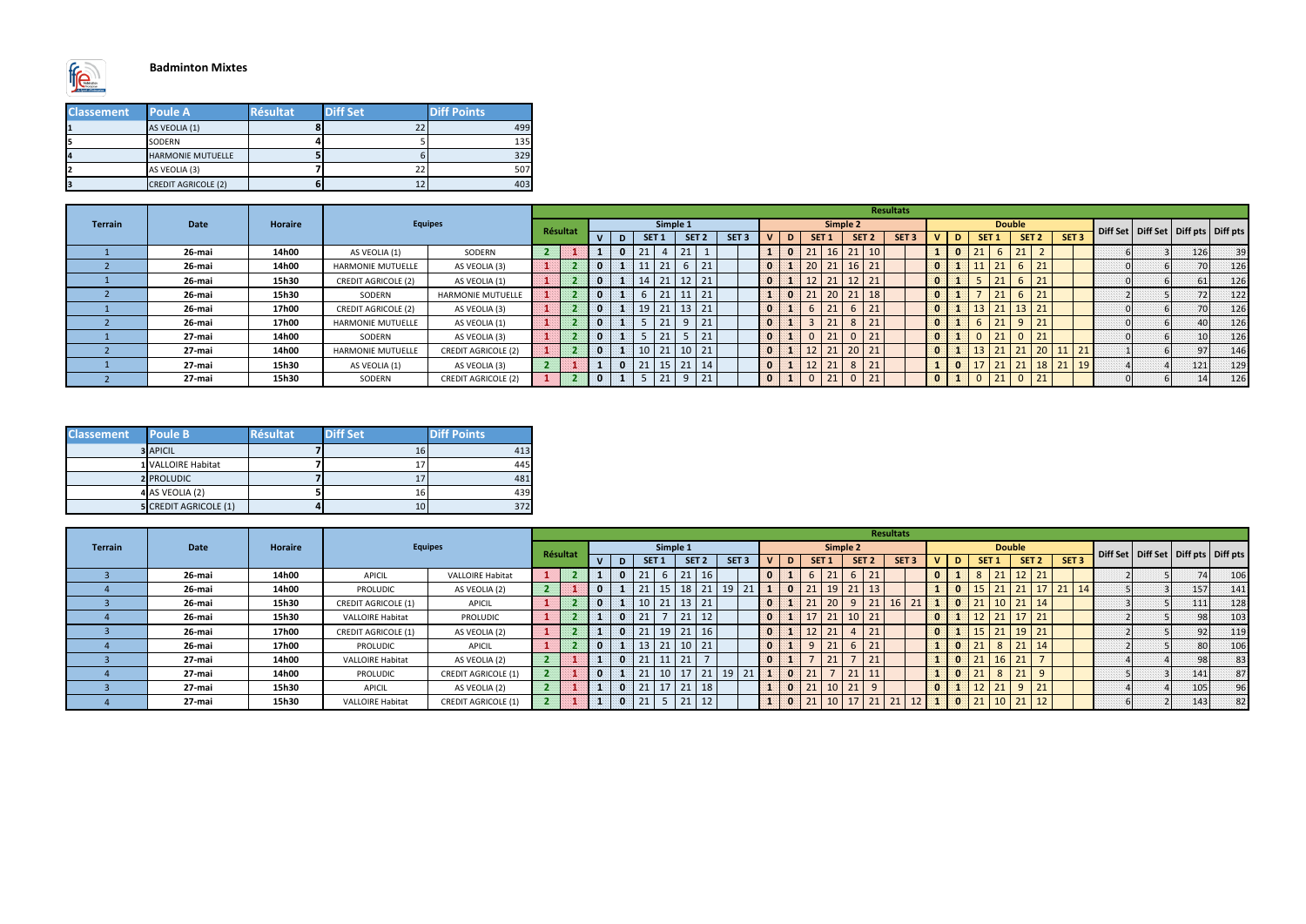

## **Badminton Mixtes**

| <b>Classement</b> | <b>Poule A</b>             | <b>Résultat</b> | <b>Diff Set</b> | <b>Diff Points</b> |
|-------------------|----------------------------|-----------------|-----------------|--------------------|
| n                 | AS VEOLIA (1)              |                 |                 | 499                |
| 5                 | SODERN                     |                 |                 | 135                |
| 14                | <b>HARMONIE MUTUELLE</b>   |                 |                 | 329                |
| 12                | AS VEOLIA (3)              |                 |                 | 507                |
| В                 | <b>CREDIT AGRICOLE (2)</b> |                 |                 | 403                |

| <b>Classement</b> | <b>Poule B</b>               | <b>Résultat</b> | <b>Diff Set</b> | <b>Diff Points</b> |
|-------------------|------------------------------|-----------------|-----------------|--------------------|
|                   | <b>3</b> APICIL              |                 | 16              | 413                |
|                   | 1 VALLOIRE Habitat           |                 |                 | 445                |
|                   | <b>2 PROLUDIC</b>            |                 | Ŧ,              | 481                |
|                   | 4 AS VEOLIA (2)              |                 | 16              | 439                |
|                   | <b>5 CREDIT AGRICOLE (1)</b> |                 | 10              | 372                |

|                |        |                |                            |                            |                |  |   |                  |          |                  |             |                  |          |   |            |              |                                 | <b>Resultats</b> |          |              |                  |               |                  |           |                  |  |                                           |
|----------------|--------|----------------|----------------------------|----------------------------|----------------|--|---|------------------|----------|------------------|-------------|------------------|----------|---|------------|--------------|---------------------------------|------------------|----------|--------------|------------------|---------------|------------------|-----------|------------------|--|-------------------------------------------|
| <b>Terrain</b> | Date   | <b>Horaire</b> |                            | <b>Equipes</b>             | Résultat       |  |   |                  | Simple 1 |                  |             |                  |          |   |            | Simple 2     |                                 |                  |          |              |                  | <b>Double</b> |                  |           |                  |  | Diff Set   Diff Set   Diff pts   Diff pts |
|                |        |                |                            |                            |                |  | D | SET <sub>1</sub> |          | SET <sub>2</sub> |             | SET <sub>3</sub> |          | D | <b>SET</b> |              | SET <sub>2</sub>                | SET <sub>3</sub> |          | D            | SET <sub>1</sub> |               | SET <sub>2</sub> |           | SET <sub>3</sub> |  |                                           |
|                | 26-mai | 14h00          | AS VEOLIA (1)              | SODERN                     | $\overline{2}$ |  |   |                  |          |                  |             |                  |          |   |            | ว 1<br>$2 +$ | 10                              |                  |          | $\bf{0}$     |                  | 21            |                  |           |                  |  | 126<br>39                                 |
|                | 26-mai | 14h00          | <b>HARMONIE MUTUELLE</b>   | AS VEOLIA (3)              |                |  |   |                  |          |                  |             |                  | $\bf{0}$ |   | 20         |              |                                 |                  |          |              | 21               | 6             |                  |           |                  |  | 70 L<br>126                               |
|                | 26-mai | 15h30          | <b>CREDIT AGRICOLE (2)</b> | AS VEOLIA (1)              |                |  |   |                  |          |                  |             |                  |          |   |            |              |                                 |                  |          |              | 21<br>ᅀ          |               |                  |           |                  |  | 126                                       |
|                | 26-mai | 15h30          | SODERN                     | <b>HARMONIE MUTUELLE</b>   |                |  |   |                  |          |                  | 21          |                  |          |   |            | 21           | 18                              |                  |          |              | 21               |               | $\mathbf{Z}$     |           |                  |  | 72<br>122                                 |
|                | 26-mai | 17h00          | <b>CREDIT AGRICOLE (2)</b> | AS VEOLIA (3)              |                |  |   | 19               |          | 13               | $\sqrt{21}$ |                  |          |   |            |              |                                 |                  | $\bf{0}$ |              | 21               | 13            | 21               |           |                  |  | 70 <sup>1</sup><br>126                    |
|                | 26-mai | 17h00          | <b>HARMONIE MUTUELLE</b>   | AS VEOLIA (1)              |                |  |   |                  |          |                  | 21          |                  | 39.      |   |            |              |                                 |                  | 30.      |              | 21               | $\alpha$      |                  |           |                  |  | 40 l<br>126                               |
|                | 27-mai | 14h00          | SODERN                     | AS VEOLIA (3)              |                |  |   |                  |          |                  |             |                  |          |   |            |              |                                 |                  |          |              | 21               |               |                  |           |                  |  | 126                                       |
|                | 27-mai | 14h00          | <b>HARMONIE MUTUELLE</b>   | <b>CREDIT AGRICOLE (2)</b> |                |  |   | 10               |          | $10$   21        |             |                  |          |   |            |              | $\mathbf{A}$<br>20 <sup>°</sup> |                  |          |              | 21               | 21            |                  | 11<br>-44 | 21               |  | 146                                       |
|                | 27-mai | 15h30          | AS VEOLIA (1)              | AS VEOLIA (3)              | $\mathbf{p}$   |  |   |                  |          | 21               | 14          |                  |          |   |            |              | 8                               |                  |          | $\mathbf{0}$ | 21               | 21            |                  |           | 18 21 19         |  | 121<br>129                                |
|                | 27-mai | 15h30          | SODERN                     | <b>CREDIT AGRICOLE (2)</b> |                |  |   |                  |          |                  | 21          |                  |          |   |            |              |                                 |                  |          |              | 21               | $\Omega$      |                  |           |                  |  | 126<br>14 <sup>1</sup>                    |

|                |             |                |                            |                            |          |   |                   |                 |                  |              |                  |    |    |                  |                      |    | <b>Resultats</b> |   |                |                  |              |               |                  |                  |                    |                |     |                                           |
|----------------|-------------|----------------|----------------------------|----------------------------|----------|---|-------------------|-----------------|------------------|--------------|------------------|----|----|------------------|----------------------|----|------------------|---|----------------|------------------|--------------|---------------|------------------|------------------|--------------------|----------------|-----|-------------------------------------------|
| <b>Terrain</b> | <b>Date</b> | <b>Horaire</b> |                            | <b>Equipes</b>             | Résultat |   |                   | Simple 1        |                  |              |                  |    |    |                  | Simple 2             |    |                  |   |                |                  |              | <b>Double</b> |                  |                  |                    |                |     | Diff Set   Diff Set   Diff pts   Diff pts |
|                |             |                |                            |                            |          | D | SET <sub>1</sub>  |                 | SET <sub>2</sub> |              | SET <sub>3</sub> | D. |    | SET <sub>1</sub> | SET <sub>2</sub>     |    | SET <sub>3</sub> |   | D              | SET <sub>1</sub> |              |               | SET <sub>2</sub> | SET <sub>3</sub> |                    |                |     |                                           |
|                | 26-mai      | 14h00          | <b>APICIL</b>              | <b>VALLOIRE Habitat</b>    |          |   | <b>תר</b><br>ᅀ    |                 |                  | 1p           |                  |    |    | 21               | 6 <sup>1</sup>       |    |                  | U | a.             |                  | $\vert$ 21   |               | $12$ 21          |                  |                    |                |     | 106                                       |
|                | 26-mai      | 14h00          | PROLUDIC                   | AS VEOLIA (2)              |          |   | 21<br>ᅩ           |                 |                  | 21           | 19               |    | 21 |                  | ว 1<br>$2 +$         |    |                  |   | $\bf{0}$       |                  | 21           | 21            | л.               | 21<br>21         | $\vert$ 14 $\vert$ |                | 157 | 141                                       |
|                | 26-mai      | 15h30          | <b>CREDIT AGRICOLE (1)</b> | APICIL                     |          |   |                   |                 |                  | 21           |                  |    |    | 20               | 9                    |    |                  |   | $\mathbf{0}$   |                  |              | 21            | 14               |                  |                    |                |     | 128<br>111                                |
|                | 26-mai      | 15h30          | <b>VALLOIRE Habitat</b>    | <b>PROLUDIC</b>            |          |   | 24                |                 |                  | 12           |                  |    |    | 21<br>$2 +$      |                      | 24 |                  |   |                |                  | 21<br>$\sim$ | 17            | 21               |                  |                    |                |     | 98<br>103                                 |
|                | 26-mai      | 17h00          | <b>CREDIT AGRICOLE (1)</b> | AS VEOLIA (2)              |          |   | 21<br>z.          | 19              |                  | 16           |                  |    |    |                  |                      |    |                  |   |                |                  | 21           | 19            | 21               |                  |                    |                |     | 92<br>119                                 |
|                | 26-mai      | 17h00          | PROLUDIC                   | APICIL                     |          |   | 13                | $\mathbf{a}$    |                  | $10 \mid 21$ |                  |    |    |                  | b                    |    |                  |   | $\bf{0}$       |                  | 8            | 21            | 14               |                  |                    |                |     | 106<br>80                                 |
|                | 27-mai      | 14h00          | <b>VALLOIRE Habitat</b>    | AS VEOLIA (2)              |          |   | $\mathbf{a}$      |                 |                  |              |                  |    |    |                  |                      |    |                  |   | $\bf{0}$       |                  |              | 21            |                  |                  |                    |                |     | 83<br>98                                  |
|                | 27-mai      | 14h00          | PROLUDIC                   | <b>CREDIT AGRICOLE (1)</b> |          |   | 21                | 10 <sup>1</sup> |                  | 21           | 19               |    | 21 |                  | 21<br>$\sim$ $\perp$ |    |                  |   | $\mathbf{0}$   |                  |              | 21            |                  |                  |                    |                |     | 87<br>141                                 |
|                | 27-mai      | 15h30          | <b>APICIL</b>              | AS VEOLIA (2)              |          |   | 71<br><u> 2 J</u> |                 |                  | 18           |                  |    | 21 | 10               | 21<br>21             |    |                  |   |                |                  | 21           | $\alpha$      | 21               |                  |                    | $\overline{a}$ | 105 | 96                                        |
|                | 27-mai      | 15h30          | <b>VALLOIRE Habitat</b>    | <b>CREDIT AGRICOLE (1)</b> |          |   | 21<br>ᅀ           |                 |                  | 12           |                  |    | 21 | 10               | $17$ 21              |    |                  |   | $\overline{0}$ |                  | 10           | $\sqrt{21}$   |                  |                  |                    |                |     | 82<br>143                                 |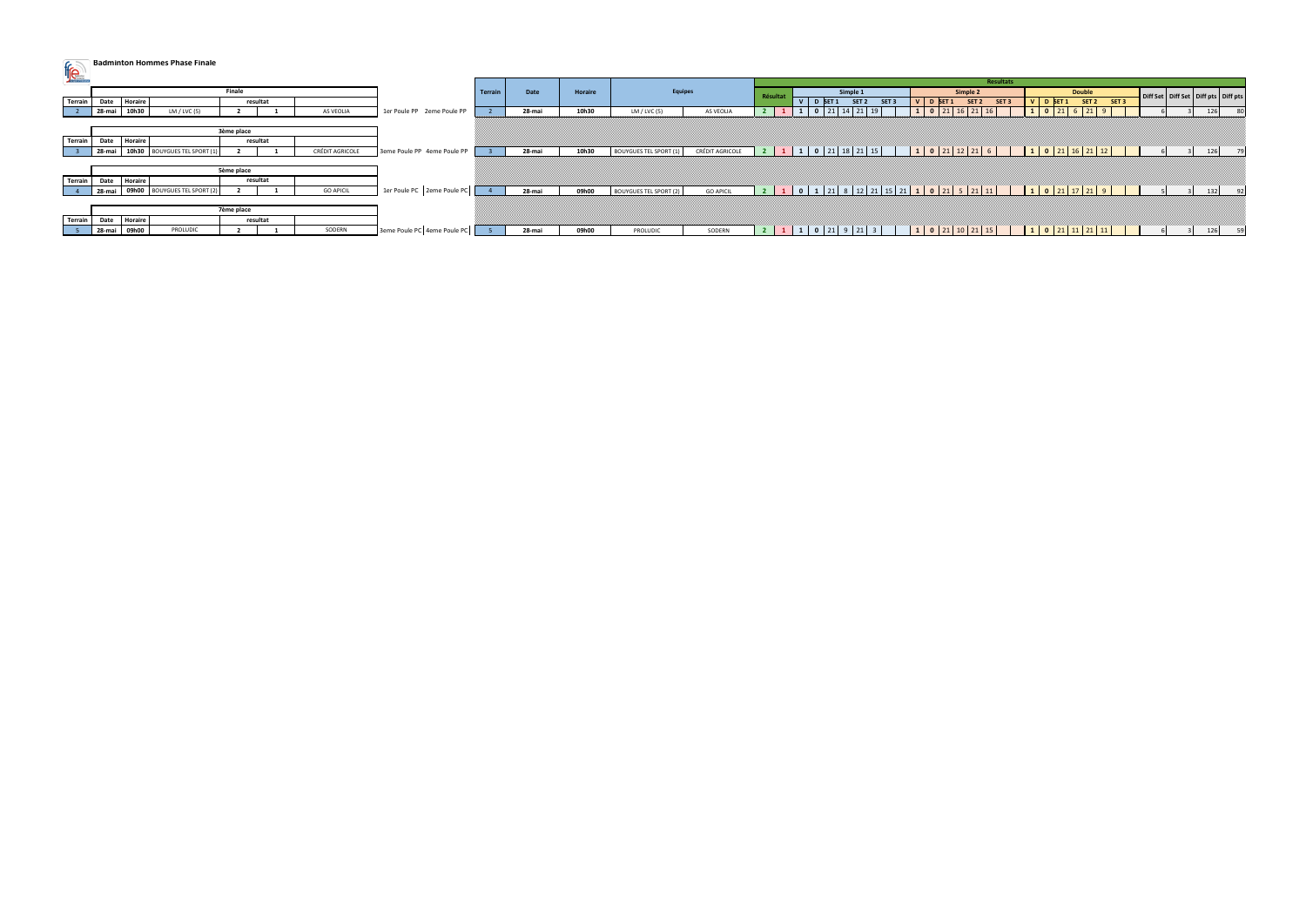# **Badminton Hommes Phase Finale**

| <b>Cubicot d'Estregana</b> |           |                              |            |          |                        |                             |        |        |         |                               |                        |                |                                                              |                                                                       |                                                 |             |  |                                           |
|----------------------------|-----------|------------------------------|------------|----------|------------------------|-----------------------------|--------|--------|---------|-------------------------------|------------------------|----------------|--------------------------------------------------------------|-----------------------------------------------------------------------|-------------------------------------------------|-------------|--|-------------------------------------------|
|                            |           |                              |            |          |                        |                             |        |        |         |                               |                        |                |                                                              | Resultats                                                             |                                                 |             |  |                                           |
|                            |           |                              | Finale     |          |                        |                             | Terrai | Date   | Horaire | Equipes                       |                        | Résulta        | Simple 1                                                     | Simple 2                                                              | <b>Double</b>                                   |             |  | Diff Set   Diff Set   Diff pts   Diff pts |
| <b>Terrain</b>             |           | Date Horaire                 |            | resultat |                        |                             |        |        |         |                               |                        |                | V D SET <sub>1</sub><br>SET <sub>2</sub><br>SET <sub>3</sub> | SET 2<br>$V$ D SET 1<br>SET <sub>3</sub>                              | V D SET 1                                       | SET 2 SET 3 |  |                                           |
|                            | $28$ -mai | 10h30<br>LM / LVC(5)         |            |          | AS VEOLIA              | 1er Poule PP 2eme Poule PP  |        | 28-mai | 10h30   | LM $/$ LVC (5)                | AS VEOLIA              |                |                                                              |                                                                       |                                                 |             |  | 126<br>80                                 |
|                            |           |                              |            |          |                        |                             |        |        |         |                               |                        |                |                                                              |                                                                       |                                                 |             |  |                                           |
|                            |           |                              | 3ème place |          |                        |                             |        |        |         |                               |                        |                |                                                              |                                                                       |                                                 |             |  |                                           |
| Terrain                    | Date      | Horaire                      |            | resultat |                        |                             |        |        |         |                               |                        |                |                                                              |                                                                       |                                                 |             |  |                                           |
|                            | $28$ -mai | 10h30 BOUYGUES TEL SPORT (1) |            |          | <b>CRÉDIT AGRICOLE</b> | 3eme Poule PP 4eme Poule PP |        | 28-mai | 10h30   | <b>BOUYGUES TEL SPORT (1)</b> | <b>CRÉDIT AGRICOLE</b> | $\overline{2}$ | $1 \mid 1 \mid 0 \mid 21 \mid 18 \mid 21 \mid 15$            | $1 \mid 0 \mid 21 \mid 12 \mid 21 \mid 6 \mid$                        | $1 \mid 0 \mid 21 \mid 16 \mid 21 \mid 12 \mid$ |             |  | 126<br>79                                 |
|                            |           |                              |            |          |                        |                             |        |        |         |                               |                        |                |                                                              |                                                                       |                                                 |             |  |                                           |
|                            |           |                              | 5ème place |          |                        |                             |        |        |         |                               |                        |                |                                                              |                                                                       |                                                 |             |  |                                           |
| Terrain Date               |           | Horaire                      |            | resultat |                        |                             |        |        |         |                               |                        |                |                                                              |                                                                       |                                                 |             |  |                                           |
|                            | $28$ -mai | 09h00 BOUYGUES TEL SPORT (2) |            |          | <b>GO APICIL</b>       | 1er Poule PC 2eme Poule PC  |        | 28-mai | 09h00   | <b>BOUYGUES TEL SPORT (2)</b> | <b>GO APICIL</b>       |                |                                                              | 2 1 0 1 21 8 12 21 15 21 <mark>1 0 21 5 21 11 10 21 1 0 21 1</mark> 2 |                                                 |             |  | 92                                        |
|                            |           |                              |            |          |                        |                             |        |        |         |                               |                        |                |                                                              |                                                                       |                                                 |             |  |                                           |
|                            |           |                              | 7ème place |          |                        |                             |        |        |         |                               |                        |                |                                                              |                                                                       |                                                 |             |  |                                           |
| Terrain Date Horaire       |           |                              |            | resultat |                        |                             |        |        |         |                               |                        |                |                                                              |                                                                       |                                                 |             |  |                                           |
|                            |           | 28-mai 09h00<br>PROLUDIC     |            |          | SODERN                 | 3eme Poule PC 4eme Poule PC |        | 28-mai | 09h00   | PROLUDIC                      | SODERN                 |                | 1 0 21 9 21 3                                                | 1 0 21 10 21 15                                                       | 1 0 21 11 21 11                                 |             |  | - 59                                      |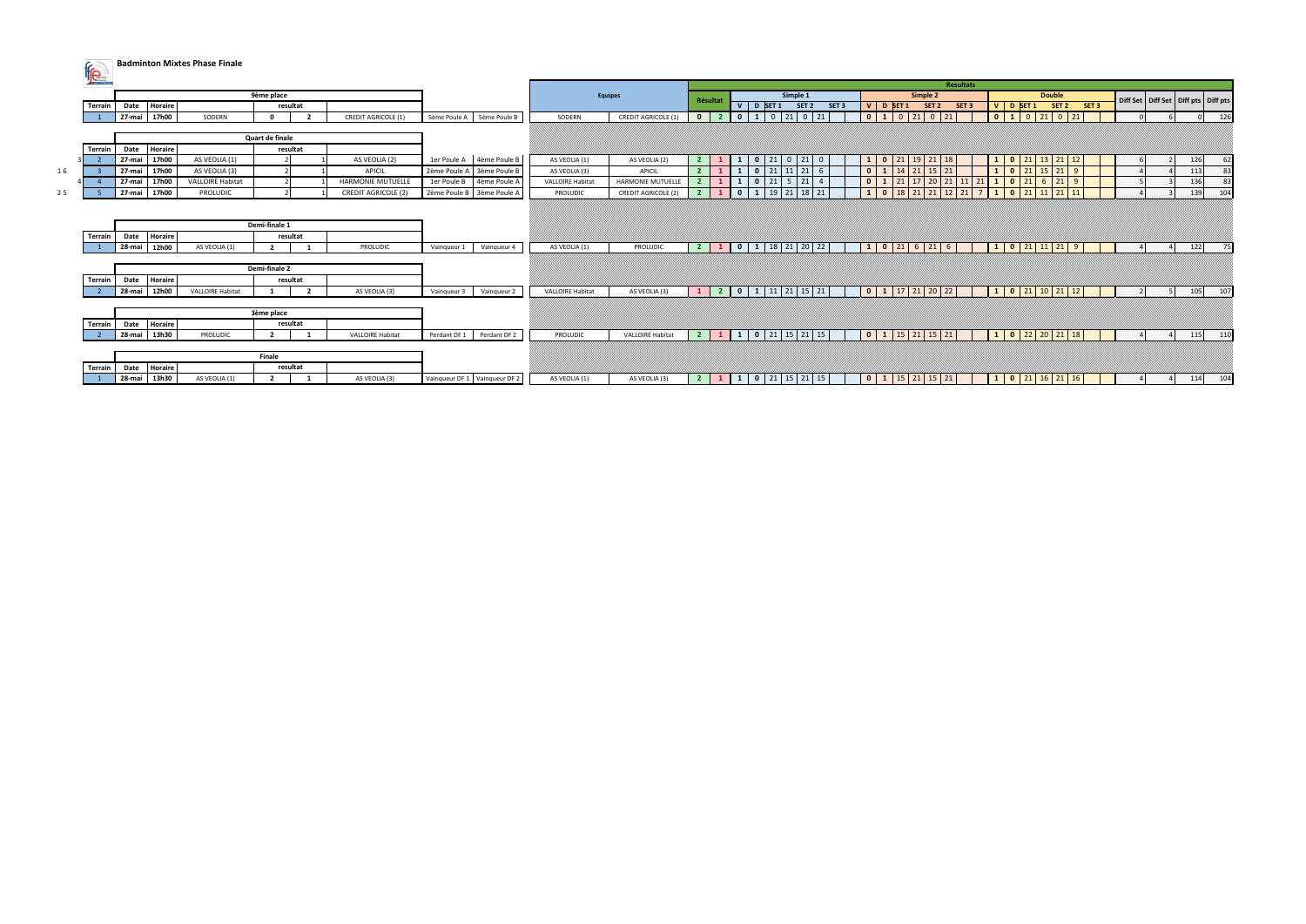**Badminton Mixtes Phase Finale** 

|    | <b>AuSport d'Érbeprise</b> |              |                |                         |                          |              |                            |              |                               |                         |                            |                         |                |                          |                          |                   |                  |                                                             |                             |                                     | <b>Resultats</b> |                                                                                          |                 |                               |             |                                           |     |     |
|----|----------------------------|--------------|----------------|-------------------------|--------------------------|--------------|----------------------------|--------------|-------------------------------|-------------------------|----------------------------|-------------------------|----------------|--------------------------|--------------------------|-------------------|------------------|-------------------------------------------------------------|-----------------------------|-------------------------------------|------------------|------------------------------------------------------------------------------------------|-----------------|-------------------------------|-------------|-------------------------------------------|-----|-----|
|    |                            |              |                |                         | 9ème place               |              |                            |              |                               |                         | <b>Equipes</b>             |                         |                |                          |                          | Simple 1          |                  |                                                             |                             | Simple 2                            |                  |                                                                                          |                 | <b>Double</b>                 |             |                                           |     |     |
|    | Terrain                    | Date         | <b>Horaire</b> |                         | resultat                 |              |                            |              |                               |                         |                            | Résultat                |                |                          | V D SET 1                | SET 2             | SET <sub>3</sub> | V D SET 1                                                   |                             | SET 2                               | SET <sub>3</sub> | <b>V</b>                                                                                 | D SET 1         |                               | SET 2 SET 3 | Diff Set   Diff Set   Diff pts   Diff pts |     |     |
|    |                            | 27-mai       | 17h00          | SODERN                  | $\sqrt{ }$               |              | <b>CREDIT AGRICOLE (1)</b> | 5ème Poule A | 5ème Poule B                  | SODERN                  | <b>CREDIT AGRICOLE</b>     | $\mathbf{0}$            |                | $\mathbf{0}$             | $0 \mid 21$              | $\mathbf 0$       | 21               | $\overline{\mathbf{0}}$<br>$1\vert$                         |                             |                                     |                  |                                                                                          |                 | $\begin{array}{ c c c }$ 21 0 |             |                                           |     | 126 |
|    |                            |              |                |                         |                          |              |                            |              |                               |                         |                            |                         |                |                          |                          |                   |                  |                                                             |                             |                                     |                  |                                                                                          |                 |                               |             |                                           |     |     |
|    |                            |              |                |                         | Quart de finale          |              |                            |              |                               |                         |                            |                         |                |                          |                          |                   |                  |                                                             |                             |                                     |                  |                                                                                          |                 |                               |             |                                           |     |     |
|    | Terrain                    | Date         | <b>Horaire</b> |                         | resultat                 |              |                            |              |                               |                         |                            |                         |                |                          |                          |                   |                  |                                                             |                             |                                     |                  |                                                                                          |                 |                               |             |                                           |     |     |
|    |                            | 27-mai       | 17h00          | AS VEOLIA (1)           |                          |              | AS VEOLIA (2)              | 1er Poule A  | 4ème Poule B                  | AS VEOLIA (1)           | AS VEOLIA (2)              |                         |                | $\overline{\mathbf{0}}$  | 21                       | $\mathbf 0$<br>21 | $\mathbf 0$      | $\bullet$<br>$\mathbf{1}$                                   |                             | $19$ 21                             | 18               | $\mathbf{0}$                                                                             | 21              | 21                            |             |                                           | 126 | 62  |
| 16 |                            | 27-mai       | 17h00          | AS VEOLIA (3)           |                          |              | APICIL                     | 2ème Poule A | 3ème Poule B                  | AS VEOLIA (3)           | APICIL                     |                         |                |                          |                          |                   | 6                | $\mathbf{0}$                                                |                             | $1 \mid 14 \mid 21 \mid 15 \mid 21$ |                  | $\mathbf{1}$                                                                             |                 |                               |             |                                           | 113 | 83  |
|    |                            | 27-mai       | 17h00          | <b>VALLOIRE Habitat</b> |                          |              | <b>HARMONIE MUTUELLE</b>   | 1er Poule B  | 4ème Poule A                  | <b>VALLOIRE Habita</b>  | <b>HARMONIE MUTUELLE</b>   |                         |                |                          | $0 \mid 21$              | $5 \mid 21$       | $\overline{4}$   | $\mathbf{0}$                                                |                             | $17$ 20                             | 21               | $\blacksquare$                                                                           | 21              | 21                            | - 9         |                                           | 136 | 83  |
| 25 |                            | 27-mai 17h00 |                | PROLUDIC                |                          |              | <b>CREDIT AGRICOLE (2)</b> |              | 2ème Poule B 3ème Poule A     | PROLUDIC                | <b>CREDIT AGRICOLE (2)</b> |                         |                | $\Omega$<br>$\mathbf{1}$ | $19$ 21                  |                   | 18 21            | $\mathbf{1}$                                                | $0 \mid 18 \mid 21 \mid 21$ |                                     | $12 \mid 21$     | $\overline{1}$                                                                           | $0 \mid 21$     | $11$ 21 11                    |             |                                           | 139 | 104 |
|    |                            |              |                |                         |                          |              |                            |              |                               |                         |                            |                         |                |                          |                          |                   |                  |                                                             |                             |                                     |                  |                                                                                          |                 |                               |             |                                           |     |     |
|    |                            |              |                |                         |                          |              |                            |              |                               |                         |                            |                         |                |                          |                          |                   |                  |                                                             |                             |                                     |                  |                                                                                          |                 |                               |             |                                           |     |     |
|    |                            |              |                |                         | Demi-finale 1            |              |                            |              |                               |                         |                            |                         |                |                          |                          |                   |                  |                                                             |                             |                                     |                  |                                                                                          |                 |                               |             |                                           |     |     |
|    | Terrain                    | Date         | <b>Horaire</b> |                         | resultat                 |              |                            |              |                               |                         |                            |                         |                |                          |                          |                   |                  |                                                             |                             |                                     |                  |                                                                                          |                 |                               |             |                                           |     |     |
|    |                            | 28-mai       | 12h00          | AS VEOLIA (1)           | $\overline{\phantom{a}}$ |              | PROLUDIC                   | Vainqueur 1  | Vainqueur 4                   | AS VEOLIA (1)           | PROLUDIC                   | $\blacksquare$          |                |                          |                          |                   |                  | $\vert 1 \vert$                                             |                             | $0 \mid 21 \mid 6 \mid 21 \mid$     | 6                |                                                                                          | 1 0 21 11 21    |                               | - 9         |                                           | 122 | 75  |
|    |                            |              |                |                         |                          |              |                            |              |                               |                         |                            |                         |                |                          |                          |                   |                  |                                                             |                             |                                     |                  |                                                                                          |                 |                               |             |                                           |     |     |
|    |                            |              |                |                         | Demi-finale 2            |              |                            |              |                               |                         |                            |                         |                |                          |                          |                   |                  |                                                             |                             |                                     |                  |                                                                                          |                 |                               |             |                                           |     |     |
|    | Terrain                    | Date         | <b>Horaire</b> |                         | resultat                 |              |                            |              |                               |                         |                            |                         |                |                          |                          |                   |                  |                                                             |                             |                                     |                  |                                                                                          |                 |                               |             |                                           |     |     |
|    |                            | 28-mai       | 12h00          | <b>VALLOIRE Habitat</b> |                          | $\mathbf{z}$ | AS VEOLIA (3)              | Vaingueur 3  | Vainqueur 2                   | <b>VALLOIRE Habitat</b> | AS VEOLIA (3)              | $\mathbf{1}$            | $\overline{2}$ | $\overline{\phantom{a}}$ | $1 \mid 11 \mid 21 \mid$ | 15                | 21               | $\overline{\phantom{0}}$<br>$1\vert$                        | $17$ 21 20                  |                                     | 22               | $\begin{array}{ c c c c c } \hline \textbf{0} & \textbf{21} \end{array}$<br>$\mathbf{1}$ |                 | $10 \mid 21$                  |             |                                           | 105 | 107 |
|    |                            |              |                |                         |                          |              |                            |              |                               |                         |                            |                         |                |                          |                          |                   |                  |                                                             |                             |                                     |                  |                                                                                          |                 |                               |             |                                           |     |     |
|    |                            |              |                |                         | 3ème place               |              |                            |              |                               |                         |                            |                         |                |                          |                          |                   |                  |                                                             |                             |                                     |                  |                                                                                          |                 |                               |             |                                           |     |     |
|    | Terrain                    |              | Date Horaire   |                         | resultat                 |              |                            |              |                               |                         |                            |                         |                |                          |                          |                   |                  |                                                             |                             |                                     |                  |                                                                                          |                 |                               |             |                                           |     |     |
|    |                            | 28-mai       | 13h30          | <b>PROLUDIC</b>         |                          |              | <b>VALLOIRE Habitat</b>    | Perdant DF 1 | Perdant DF 2                  | PROLUDIC                | <b>VALLOIRE Habitat</b>    | $\mathbf{2}$            |                |                          | 0   21                   | $15$   21         | 15               | $\overline{\mathbf{0}}$<br>$\mathbf{1}$                     |                             | $15$ 21 15                          | 21               | <sup>1</sup>                                                                             |                 |                               |             |                                           | 115 | 110 |
|    |                            |              |                |                         |                          |              |                            |              |                               |                         |                            |                         |                |                          |                          |                   |                  |                                                             |                             |                                     |                  |                                                                                          |                 |                               |             |                                           |     |     |
|    |                            |              |                |                         | Finale                   |              |                            |              |                               |                         |                            |                         |                |                          |                          |                   |                  |                                                             |                             |                                     |                  |                                                                                          |                 |                               |             |                                           |     |     |
|    | Terrain                    | Date         | Horaire        |                         | resultat                 |              |                            |              |                               |                         |                            |                         |                |                          |                          |                   |                  |                                                             |                             |                                     |                  |                                                                                          |                 |                               |             |                                           |     |     |
|    |                            | 28-mai       | 13h30          | AS VEOLIA (1)           | - 2                      |              | AS VEOLIA (3)              |              | Vainqueur DF 1 Vainqueur DF 2 | AS VEOLIA (1)           | AS VEOLIA (3)              | $\overline{\mathbf{2}}$ |                |                          | 1   0   21   15   21     |                   | 15               | $\vert 0 \vert 1 \vert 15 \vert 21 \vert 15 \vert 21 \vert$ |                             |                                     |                  |                                                                                          | 1 0 21 16 21 16 |                               |             |                                           | 114 | 104 |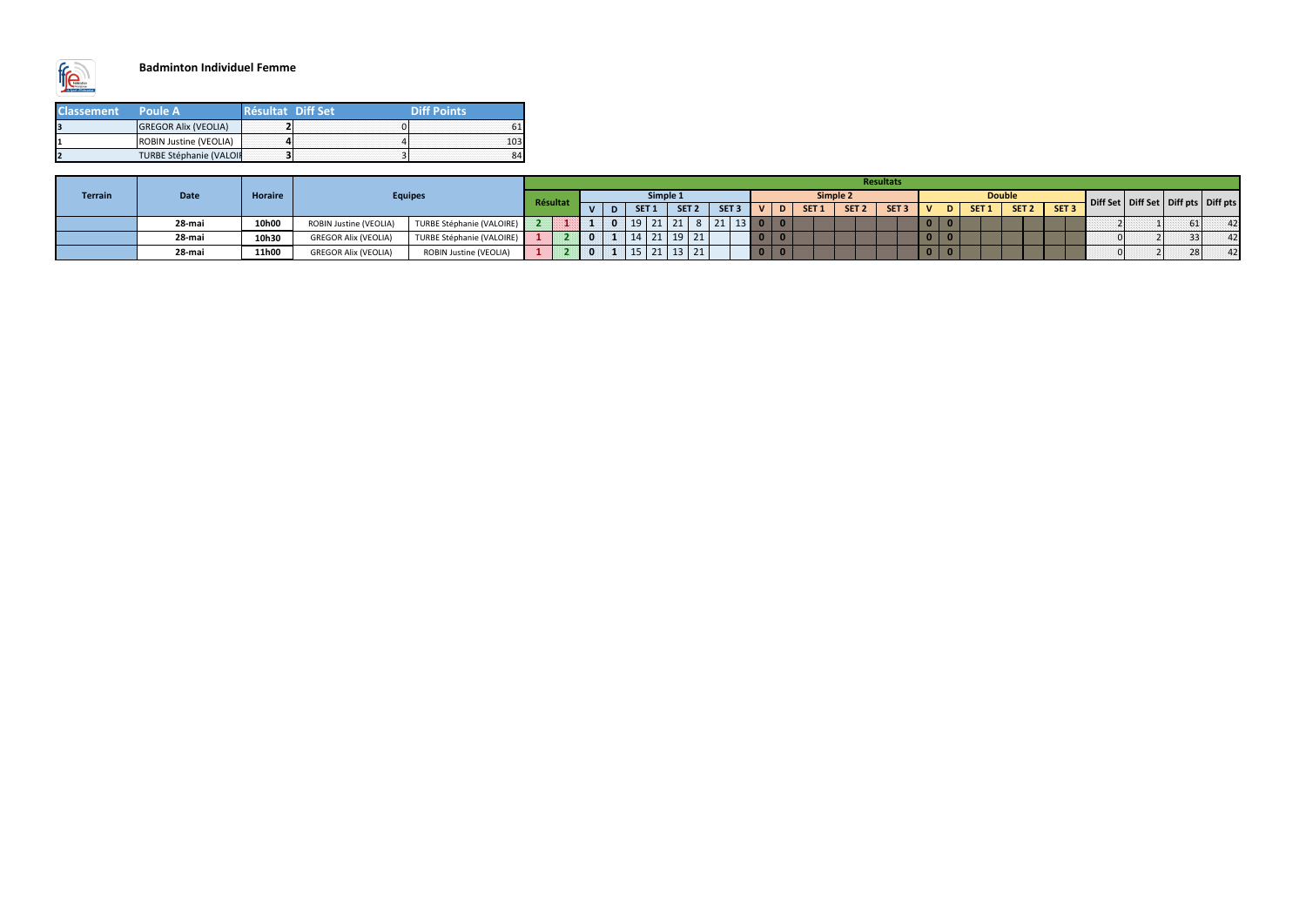

### **Badminton Individuel Femme**

| <b>Classement</b> | <b>Poule A</b>              | <b>Easailtat</b> Diff Set | <b>Diff Points</b> |
|-------------------|-----------------------------|---------------------------|--------------------|
|                   | <b>GREGOR Alix (VEOLIA)</b> |                           |                    |
|                   | ROBIN Justine (VEOLIA)      |                           |                    |
|                   | TURBE Stéphanie (VALOIF     |                           |                    |

|                |             |         |                             |                           |          |  |                  |                           |                  |                         |                  |                  | Resultats        |                          |                          |                  |                  |                  |                                           |    |    |
|----------------|-------------|---------|-----------------------------|---------------------------|----------|--|------------------|---------------------------|------------------|-------------------------|------------------|------------------|------------------|--------------------------|--------------------------|------------------|------------------|------------------|-------------------------------------------|----|----|
| <b>Terrain</b> | <b>Date</b> | Horaire |                             | <b>Equipes</b>            |          |  |                  | Simple 1                  |                  |                         | Simple 2         |                  |                  |                          |                          | <b>Double</b>    |                  |                  | Diff Set   Diff Set   Diff pts   Diff pts |    |    |
|                |             |         |                             |                           | Résultat |  | SET <sub>1</sub> | SET <sub>2</sub>          | SET <sub>3</sub> | $\mathbf{v}$            | SET <sub>1</sub> | SET <sub>2</sub> | SET <sub>3</sub> | M                        | D                        | SET <sub>1</sub> | SET <sub>2</sub> | SET <sub>3</sub> |                                           |    |    |
|                | 28-mai      | 10h00   | ROBIN Justine (VEOLIA)      | TURBE Stéphanie (VALOIRE) |          |  | $19$   21        |                           | 8 21 13 0 0      |                         |                  |                  |                  | $\overline{\phantom{a}}$ |                          |                  |                  |                  |                                           | 61 | 42 |
|                | 28-mai      | 10h30   | <b>GREGOR Alix (VEOLIA)</b> | TURBE Stéphanie (VALOIRE) |          |  | 14               | $21$ 19 21                |                  | <b>O</b>                |                  |                  |                  |                          | $\overline{\phantom{a}}$ |                  |                  |                  |                                           | 33 | 42 |
|                | 28-mai      | 11h00   | <b>GREGOR Alix (VEOLIA)</b> | ROBIN Justine (VEOLIA)    |          |  | 15.              | $21 \mid 13 \mid 21 \mid$ |                  | $\overline{\mathbf{0}}$ |                  |                  |                  | $\overline{\phantom{a}}$ |                          |                  |                  |                  |                                           | 28 | 42 |